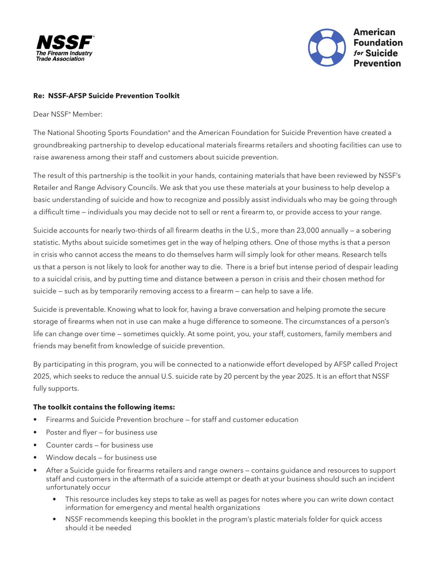



## **Re: NSSF-AFSP Suicide Prevention Toolkit**

Dear NSSF® Member:

The National Shooting Sports Foundation® and the American Foundation for Suicide Prevention have created a groundbreaking partnership to develop educational materials firearms retailers and shooting facilities can use to raise awareness among their staff and customers about suicide prevention.

The result of this partnership is the toolkit in your hands, containing materials that have been reviewed by NSSF's Retailer and Range Advisory Councils. We ask that you use these materials at your business to help develop a basic understanding of suicide and how to recognize and possibly assist individuals who may be going through a difficult time — individuals you may decide not to sell or rent a firearm to, or provide access to your range.

Suicide accounts for nearly two-thirds of all firearm deaths in the U.S., more than 23,000 annually — a sobering statistic. Myths about suicide sometimes get in the way of helping others. One of those myths is that a person in crisis who cannot access the means to do themselves harm will simply look for other means. Research tells us that a person is not likely to look for another way to die. There is a brief but intense period of despair leading to a suicidal crisis, and by putting time and distance between a person in crisis and their chosen method for suicide — such as by temporarily removing access to a firearm — can help to save a life.

Suicide is preventable. Knowing what to look for, having a brave conversation and helping promote the secure storage of firearms when not in use can make a huge difference to someone. The circumstances of a person's life can change over time — sometimes quickly. At some point, you, your staff, customers, family members and friends may benefit from knowledge of suicide prevention.

By participating in this program, you will be connected to a nationwide effort developed by AFSP called Project 2025, which seeks to reduce the annual U.S. suicide rate by 20 percent by the year 2025. It is an effort that NSSF fully supports.

## **The toolkit contains the following items:**

- Firearms and Suicide Prevention brochure for staff and customer education
- Poster and flyer for business use
- Counter cards for business use
- Window decals for business use
- After a Suicide guide for firearms retailers and range owners contains guidance and resources to support staff and customers in the aftermath of a suicide attempt or death at your business should such an incident unfortunately occur
	- This resource includes key steps to take as well as pages for notes where you can write down contact information for emergency and mental health organizations
	- NSSF recommends keeping this booklet in the program's plastic materials folder for quick access should it be needed